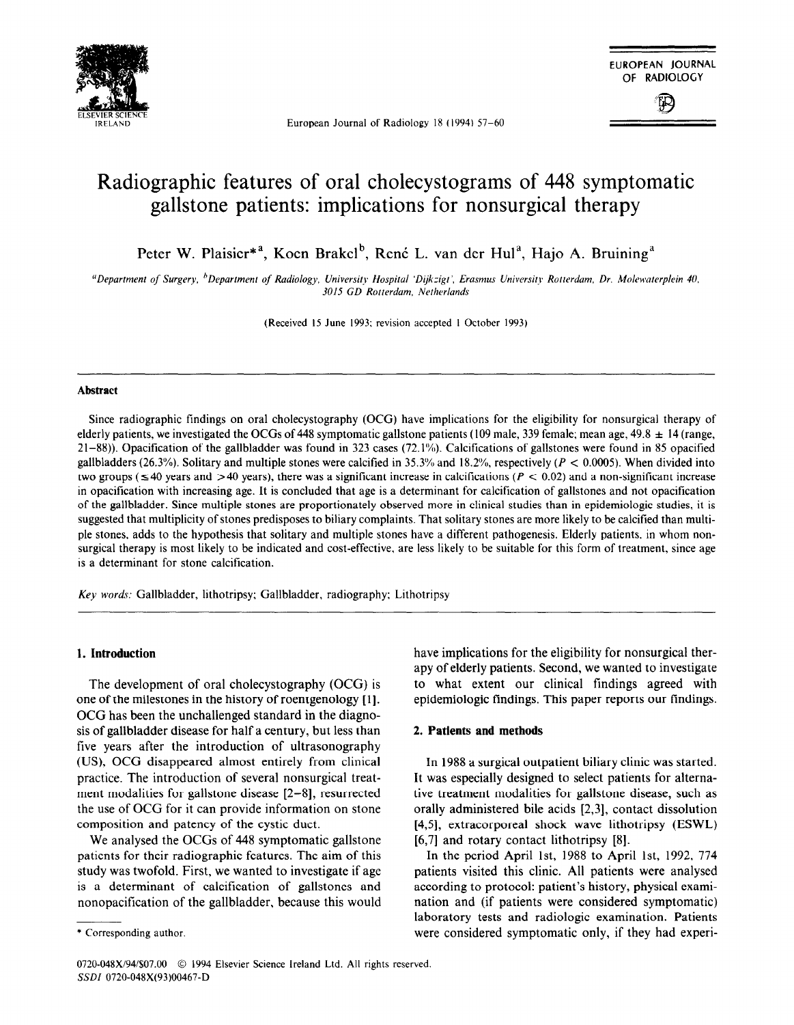

**IRELAND** European Journal of Radiology 18 (1994) 57-60

**EUROPEAN JOURNAL OF RADIOLOGY** 

ŢŖ

Radiographic features of oral cholecystograms of 448 symptomatic gallstone patients: implications for nonsurgical therapy

Peter W. Plaisier\*<sup>a</sup>, Koen Brakel<sup>b</sup>, René L. van der Hul<sup>a</sup>, Hajo A. Bruining<sup>a</sup>

<sup>"</sup>Department of Surgery, <sup>h</sup>Department of Radiology, University Hospital 'Dijkzigt', Erasmus University Rotterdam, Dr. Molewaterplein 40, *3015 CD Rotterdam. Netherlands* 

(Received 15 June 1993; revision accepted I October 1993)

# **Abstract**

Since radiographic findings on oral cholecystography (OCG) have implications for the eligibility for nonsurgical therapy of elderly patients, we investigated the OCGs of 448 symptomatic gallstone patients (109 male, 339 female; mean age, 49.8  $\pm$  14 (range, 21-88)). Opacification of the gallbladder was found in 323 cases (72.1%). Calcifications of gallstones were found in 85 opacified gallbladders (26.3%). Solitary and multiple stones were calcified in 35.3% and 18.2%, respectively ( $P < 0.0005$ ). When divided into two groups ( $\leq$ 40 years and >40 years), there was a significant increase in calcifications ( $P < 0.02$ ) and a non-significant increase in opacification with increasing age. It is concluded that age is a determinant for calcification of gallstones and not opacification of the gallbladder. Since multiple stones are proportionately observed more in clinical studies than in epidemiologic studies, it is suggested that multiplicity of stones predisposes to biliary complaints. That solitary stones are more likely to be calcified than multiple stones, adds to the hypothesis that solitary and multiple stones have a different pathogenesis. Elderly patients, in whom nonsurgical therapy is most likely to be indicated and cost-effective, are less likely to be suitable for this form of treatment, since age is a determinant for stone calcification.

Key words: Gallbladder, lithotripsy; Gallbladder, radiography; Lithotripsy

# **1. Introduction**

The development of oral cholecystography (OCG) is one of the milestones in the history of roentgenology [I]. OCG has been the unchallenged standard in the diagnosis of gallbladder disease for half a century, but less than five years after the introduction of ultrasonography (US), OCG disappeared almost entirely from clinical practice. The introduction of several nonsurgical treatment modalities for gallstone disease [2-81, resurrected the use of OCG for it can provide information on stone composition and patency of the cystic duct.

We analysed the OCGs of 448 symptomatic gallstone patients for their radiographic features. The aim of this study was twofold. First, we wanted to investigate if age is a determinant of calcification of gallstones and nonopacification of the gallbladder, because this would

have implications for the eligibility for nonsurgical therapy of elderly patients. Second, we wanted to investigate to what extent our clinical findings agreed with epidemiologic findings. This paper reports our findings.

#### 2. **Patients and methods**

In 1988 a surgical outpatient biliary clinic was started. It was especially designed to select patients for alternative treatment modalities for gallstone disease, such as orally administered bile acids [2,3], contact dissolution [4,5], extracorporeal shock wave lithotripsy (ESWL) [6,7] and rotary contact lithotripsy [8].

In the period April lst, 1988 to April lst, 1992, 774 patients visited this clinic. All patients were analysed according to protocol: patient's history, physical examination and (if patients were considered symptomatic) laboratory tests and radiologic examination. Patients were considered symptomatic only, if they had experi-

<sup>\*</sup> Corresponding author.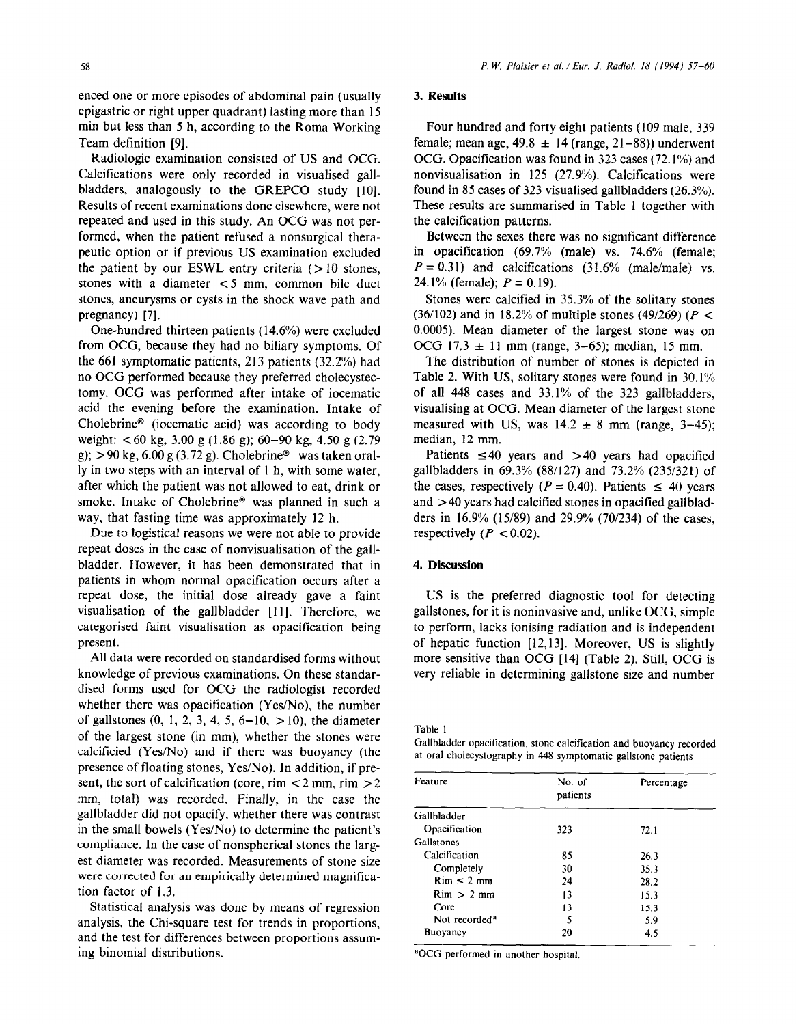enced one or more episodes of abdominal pain (usually epigastric or right upper quadrant) lasting more than I5 min but less than 5 h, according to the Roma Working Team definition [9].

Radiologic examination consisted of US and OCG. Calcifications were only recorded in visualised gallbladders, analogously to the GREPCO study [10]. Results of recent examinations done elsewhere, were not repeated and used in this study. An OCG was not performed, when the patient refused a nonsurgical therapeutic option or if previous US examination excluded the patient by our ESWL entry criteria  $(>10$  stones, stones with a diameter  $\lt 5$  mm, common bile duct stones, aneurysms or cysts in the shock wave path and pregnancy) [7].

One-hundred thirteen patients (14.6%) were excluded from OCG, because they had no biliary symptoms. Of the 661 symptomatic patients, 213 patients (32.2%) had no OCG performed because they preferred cholecystectomy. OCG was performed after intake of iocematic acid the evening before the examination. Intake of Cholebrine@ (iocematic acid) was according to body weight:  $< 60 \text{ kg}$ , 3.00 g (1.86 g); 60-90 kg, 4.50 g (2.79) g);  $> 90$  kg, 6.00 g (3.72 g). Cholebrine® was taken orally in two steps with an interval of 1 h, with some water, after which the patient was not allowed to eat, drink or smoke. Intake of Cholebrine<sup>®</sup> was planned in such a way, that fasting time was approximately 12 h.

Due to logistical reasons we were not able to provide repeat doses in the case of nonvisualisation of the gallbladder. However, it has been demonstrated that in patients in whom normal opacitication occurs after a repeat dose, the initial dose already gave a faint visualisation of the gallbladder [ll]. Therefore, we categorised faint visualisation as opacitication being present.

All data were recorded on standardised forms without knowledge of previous examinations. On these standardised forms used for OCG the radiologist recorded whether there was opacification  $(Yes/No)$ , the number of gallstones  $(0, 1, 2, 3, 4, 5, 6-10, >10)$ , the diameter of the largest stone (in mm), whether the stones were calcificied (Yes/No) and if there was buoyancy (the presence of floating stones, Yes/No). In addition, if present, the sort of calcification (core, rim  $\lt 2$  mm, rim  $>2$ ) mm, total) was recorded. Finally, in the case the gallbladder did not opacify, whether there was contrast in the small bowels (Yes/No) to determine the patient's compliance. In the case of nonspherical stones the largest diameter was recorded. Measurements of stone size were corrected for an empirically determined magnification factor of 1.3.

Statistical analysis was done by means of regression analysis, the Chi-square test for trends in proportions, and the test for differences between proportions assuming binomial distributions.

# 3. **Results**

Four hundred and forty eight patients (109 male, 339 female; mean age,  $49.8 \pm 14$  (range, 21-88)) underwent OCG. Opacification was found in 323 cases (72.1%) and nonvisualisation in 125 (27.9%). Calcifications were found in 85 cases of 323 visualised gallbladders (26.3%). These results are summarised in Table 1 together with the calcification patterns.

Between the sexes there was no significant difference in opacification (69.7% (male) vs. 74.6% (female;  $P = 0.31$ ) and calcifications (31.6% (male/male) vs. 24.1% (female); *P =* 0.19).

Stones were calcified in 35.3% of the solitary stones (361102) and in 18.2% of multiple stones (49/269) *(P <*  0.0005). Mean diameter of the largest stone was on OCG 17.3  $\pm$  11 mm (range, 3-65); median, 15 mm.

The distribution of number of stones is depicted in Table 2. With US, solitary stones were found in 30.1% of all 448 cases and 33.1% of the 323 gallbladders, visualising at OCG. Mean diameter of the largest stone measured with US, was  $14.2 \pm 8$  mm (range, 3-45); median, 12 mm.

Patients  $\leq 40$  years and  $> 40$  years had opacified gallbladders in 69.3% (88/127) and 73.2% (235/321) of the cases, respectively  $(P = 0.40)$ . Patients  $\leq 40$  years and > 40 years had calcified stones in opacified gallbladders in 16.9% (15/89) and 29.9% (701234) of the cases, respectively  $(P < 0.02)$ .

# 4. **Discussion**

US is the preferred diagnostic tool for detecting gallstones, for it is noninvasive and, unlike OCG, simple to perform, lacks ionising radiation and is independent of hepatic function  $[12,13]$ . Moreover, US is slightly more sensitive than OCG [14] (Table 2). Still, OCG is very reliable in determining gallstone size and number

Table 1

Gallbladder opacitication, stone calcification and buoyancy recorded at oral cholecystography in 448 symptomatic gallstone patients

| Feature                   | No. of<br>patients | Percentage |
|---------------------------|--------------------|------------|
| Gallbladder               |                    |            |
| Opacification             | 323                | 72.1       |
| Gallstones                |                    |            |
| Calcification             | 85                 | 26.3       |
| Completely                | 30                 | 35.3       |
| $Rim \leq 2$ mm           | 24                 | 28.2       |
| $Rim > 2$ mm              | 13                 | 15.3       |
| Core                      | 13                 | 15.3       |
| Not recorded <sup>a</sup> | 5                  | 5.9        |
| <b>Buovancy</b>           | 20                 | 4.5        |

"OCG performed in another hospital.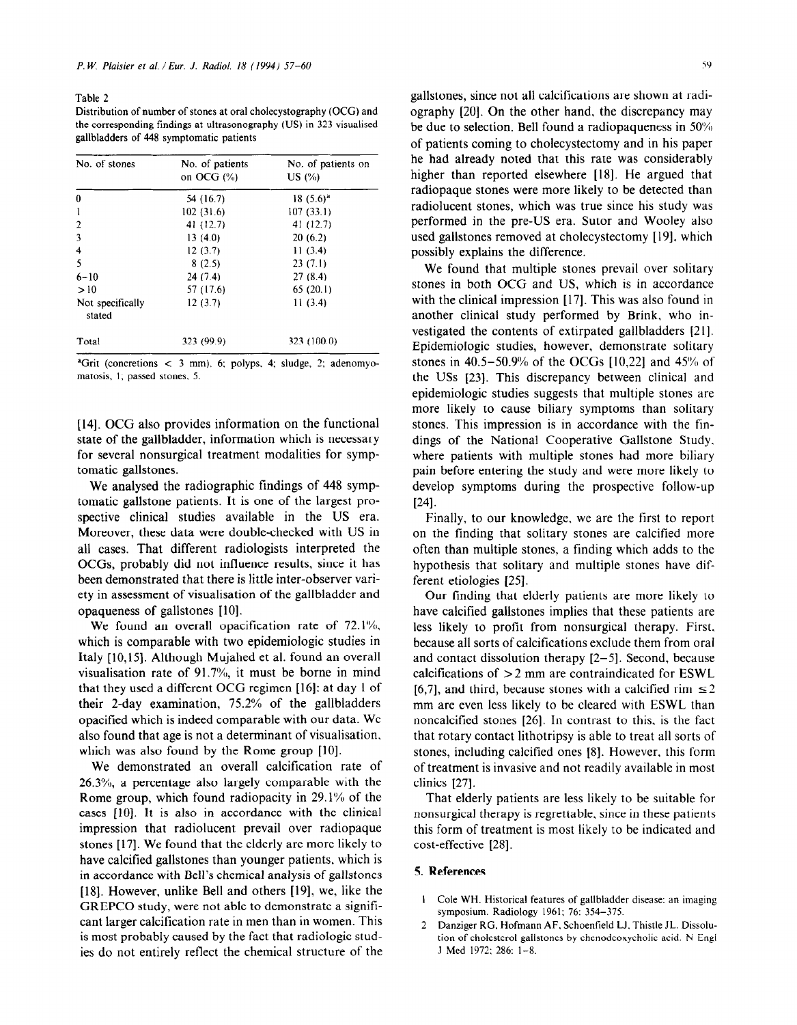#### Table 2

Distribution of number of stones at oral cholecystography (OCG) and the corresponding findings at ultrasonography (US) in 323 visualised gallbladders of 448 symptomatic patients

| No. of stones              | No. of patients | No. of patients on |  |
|----------------------------|-----------------|--------------------|--|
|                            | on OCG $(\%)$   | US $(\%)$          |  |
| $\bf{0}$                   | 54 (16.7)       | $18(5.6)^a$        |  |
| 1                          | 102(31.6)       | 107(33.1)          |  |
| $\overline{2}$             | 41 (12.7)       | 41 (12.7)          |  |
| 3                          | 13(4.0)         | 20(6.2)            |  |
| 4                          | 12(3.7)         | 11(3.4)            |  |
| 5                          | 8(2.5)          | 23(7.1)            |  |
| $6 - 10$                   | 24 (7.4)        | 27(8.4)            |  |
| >10                        | 57 (17.6)       | 65(20.1)           |  |
| Not specifically<br>stated | 12(3.7)         | 11 (3.4)           |  |
| Total                      | 323 (99.9)      | 323 (100.0)        |  |

<sup>a</sup>Grit (concretions  $\lt$  3 mm), 6; polyps, 4; sludge, 2; adenomyomatosis. I; passed stones. 5.

[14]. OCG also provides information on the functional state of the gallbladder, information which is necessary for several nonsurgical treatment modalities for symptomatic gallstones.

We analysed the radiographic findings of 448 symptomatic gallstone patients. It is one of the largest prospective clinical studies available in the US era. Moreover, these data were double-checked with US in all cases. That different radiologists interpreted the OCGs, probably did not influence results, since it has been demonstrated that there is little inter-observer variety in assessment of visualisation of the gallbladder and opaqueness of gallstones [10].

We found an overall opacification rate of 72.1%, which is comparable with two epidemiologic studies in Italy [10,15]. Although Mujahed et al. found an overall visualisation rate of  $91.7\%$ , it must be borne in mind that they used a different OCG regimen [16]: at day 1 of their 2-day examination, 75.2% of the gallbladders opacified which is indeed comparable with our data. We also found that age is not a determinant of visualisation, which was also found by the Rome group [10].

We demonstrated an overall calcification rate of  $26.3\%$ , a percentage also largely comparable with the Rome group, which found radiopacity in  $29.1\%$  of the cases [lo]. It is also in accordance with the clinical impression that radiolucent prevail over radiopaque stones [17]. We found that the elderly are more likely to have calcified gallstones than younger patients, which is in accordance with Bell's chemical analysis of gallstones [18]. However, unlike Bell and others [19], we, like the GREPCO study, were not able to demonstrate a significant larger calcification rate in men than in women. This is most probably caused by the fact that radiologic studies do not entirely reflect the chemical structure of the gallstones, since not all calcifications are shown at radiography [20]. On the other hand. the discrepancy may be due to selection. Bell found a radiopaqueness in  $50\%$ of patients coming to cholecystectomy and in his paper he had already noted that this rate was considerably higher than reported elsewhere [18]. He argued that radiopaque stones were more likely to be detected than radiolucent stones, which was true since his study was performed in the pre-US era. Sutor and Wooley also used gallstones removed at cholecystectomy [19], which possibly explains the difference.

We found that multiple stones prevail over solitary stones in both OCG and US, which is in accordance with the clinical impression  $[17]$ . This was also found in another clinical study performed by Brink, who investigated the contents of extirpated gallbladders [21]. Epidemiologic studies, however, demonstrate solitary stones in  $40.5 - 50.9%$  of the OCGs [10,22] and  $45%$  of the USs [23]. This discrepancy between clinical and epidemiologic studies suggests that multiple stones are more likely to cause biliary symptoms than solitary stones. This impression is in accordance with the findings of the National Cooperative Gallstone Study. where patients with multiple stones had more biliary pain before entering the study and were more likely to develop symptoms during the prospective follow-up  $[24]$ .

Finally, to our knowledge, we are the first to report on the finding that solitary stones are calcified more often than multiple stones, a finding which adds to the hypothesis that solitary and multiple stones have different etiologies [25].

Our finding that elderly patients are more likely to have calcified gallstones implies that these patients are less likely to profit from nonsurgical therapy. First, because all sorts of calcifications exclude them from oral and contact dissolution therapy  $[2-5]$ . Second, because calcifications of  $> 2$  mm are contraindicated for ESWL [6,7], and third, because stones with a calcified rim  $\leq 2$ mm are even less likely to be cleared with ESWL than noncalcified stones [26]. In contrast to this. is the fact that rotary contact lithotripsy is able to treat all sorts of stones, including calcified ones [8]. However, this form of treatment is invasive and not readily available in most clinics [27].

That elderly patients are less likely to be suitable for nonsurgical therapy is regrettable. since in these patients this form of treatment is most likely to be indicated and cost-effective [28].

# **5. References**

- I Cole WH. Historical features of gallbladder disease: an imaging symposium. Radiology 1961; 76: 354-375.
- 2 Danziger RG. Hofmann AF. Schoenfield **LJ,** Thistle JL. Dissolution of cholesterol gallstones by chenodeoxycholic acid. N Engl J Med 1972; 286: l-8.